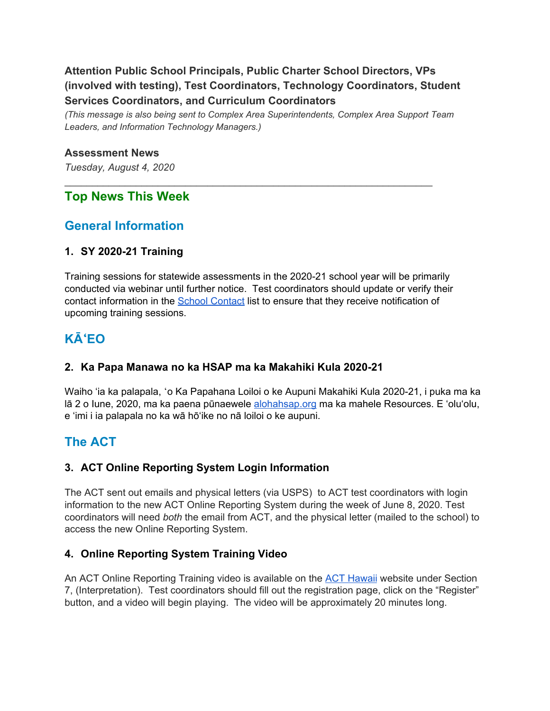## **Attention Public School Principals, Public Charter School Directors, VPs (involved with testing), Test Coordinators, Technology Coordinators, Student Services Coordinators, and Curriculum Coordinators**

*(This message is also being sent to Complex Area Superintendents, Complex Area Support Team Leaders, and Information Technology Managers.)*

 $\mathcal{L}_\text{G} = \{ \mathcal{L}_\text{G} = \{ \mathcal{L}_\text{G} = \{ \mathcal{L}_\text{G} = \{ \mathcal{L}_\text{G} = \{ \mathcal{L}_\text{G} = \{ \mathcal{L}_\text{G} = \{ \mathcal{L}_\text{G} = \{ \mathcal{L}_\text{G} = \{ \mathcal{L}_\text{G} = \{ \mathcal{L}_\text{G} = \{ \mathcal{L}_\text{G} = \{ \mathcal{L}_\text{G} = \{ \mathcal{L}_\text{G} = \{ \mathcal{L}_\text{G} = \{ \mathcal{L}_\text{G$ 

#### **Assessment News**

*Tuesday, August 4, 2020*

## **Top News This Week**

## **General Information**

#### **1. SY 2020-21 Training**

Training sessions for statewide assessments in the 2020-21 school year will be primarily conducted via webinar until further notice. Test coordinators should update or verify their contact information in the School [Contact](https://iportal.k12.hi.us/schoolcontacts/) list to ensure that they receive notification of upcoming training sessions.

# **KĀ**ʻ**EO**

#### **2. Ka Papa Manawa no ka HSAP ma ka Makahiki Kula 2020-21**

Waiho 'ia ka palapala, ʻo Ka Papahana Loiloi o ke Aupuni Makahiki Kula 2020-21, i puka ma ka lā 2 o lune, 2020, ma ka paena pūnaewele [alohahsap.org](http://alohahsap.org/) ma ka mahele Resources. E 'olu'olu, e 'imi i ia palapala no ka wā hō'ike no nā loiloi o ke aupuni.

## **The ACT**

#### **3. ACT Online Reporting System Login Information**

The ACT sent out emails and physical letters (via USPS) to ACT test coordinators with login information to the new ACT Online Reporting System during the week of June 8, 2020. Test coordinators will need *both* the email from ACT, and the physical letter (mailed to the school) to access the new Online Reporting System.

#### **4. Online Reporting System Training Video**

An ACT Online Reporting Training video is available on the ACT [Hawaii](https://www.act.org/content/act/en/products-and-services/state-and-district-solutions/hawaii/the-act.html) website under Section 7, (Interpretation). Test coordinators should fill out the registration page, click on the "Register" button, and a video will begin playing. The video will be approximately 20 minutes long.